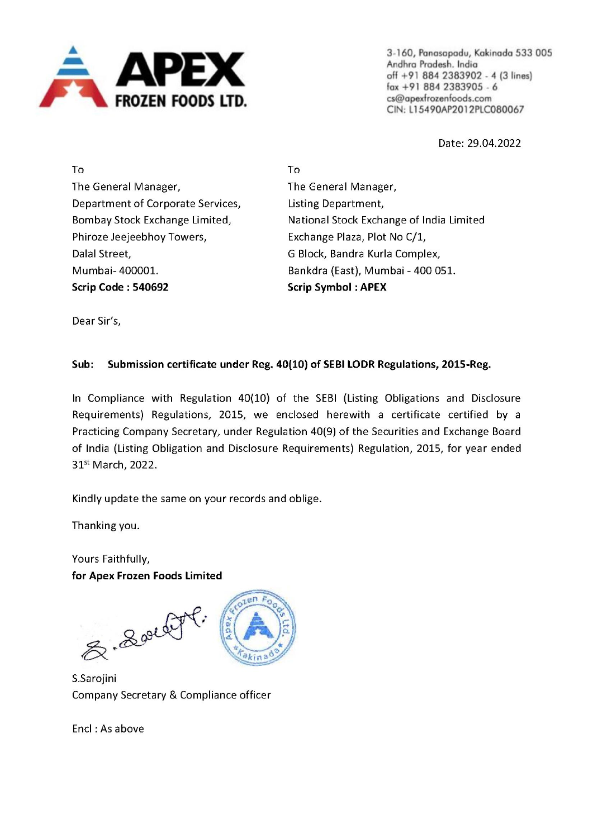

3-160, Panasapadu, Kakinada 533 005 Andhra Pradesh. India off +91 884 2383902 - 4 (3 lines) fox +91 884 2383905 -6 CIN: L15490AP201 2PLC080067

Date: 29.04.2022

To To The General Manager, The General Manager, Department of Corporate Services, Listing Department, Phiroze Jeejeebhoy Towers, Exchange Plaza, Plot No C/1, Dalal Street, G Block, Bandra Kurla Complex, Mumbai- 400001. Bankdra (East), Mumbai - 400 051. Scrip Code : 540692 Scrip Symbol : APEX

Bombay Stock Exchange Limited, National Stock Exchange of India Limited

Dear Sir's,

## Sub: Submission certificate under Reg. 40(10) of SEBI LODR Regulations, 2015-Reg.

In Compliance with Regulation 40(10) of the SEBI (Listing Obligations and Disclosure Requirements) Regulations, 2015, we enclosed herewith a certificate certified by a Practicing Company Secretary, under Regulation 40(9) of the Securities and Exchange Board of India (Listing Obligation and Disclosure Requirements) Regulation, 2015, for year ended 31% March, 2022.

Kindly update the same on your records and oblige.

Thanking you.

Yours Faithfully, for Apex Frozen Foods Limited

& Souti



S.Sarojini Company Secretary & Compliance officer

Encl : As above